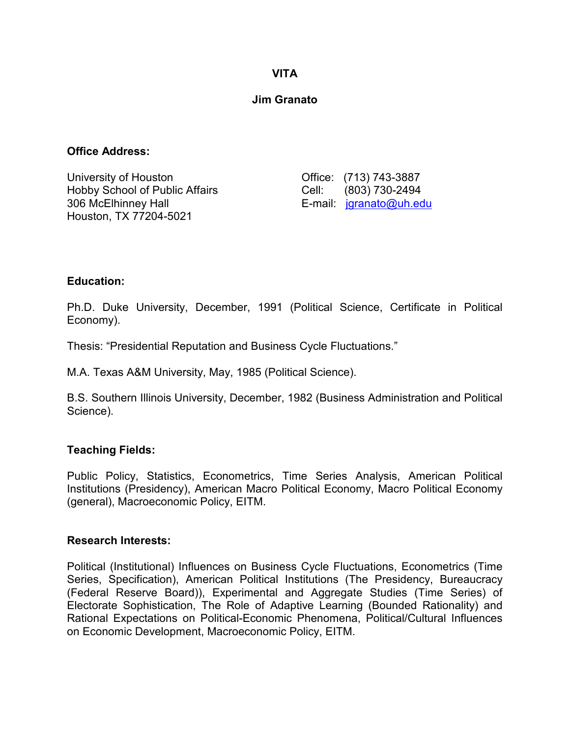### **VITA**

### **Jim Granato**

#### **Office Address:**

University of Houston **Communist Communist Communist Communist Communist Communist Communist Communist Communist** Hobby School of Public Affairs Cell: (803) 730-2494 306 McElhinney Hall E-mail: [jgranato@uh.edu](mailto:jgranato@uh.edu) Houston, TX 77204-5021

#### **Education:**

Ph.D. Duke University, December, 1991 (Political Science, Certificate in Political Economy).

Thesis: "Presidential Reputation and Business Cycle Fluctuations."

M.A. Texas A&M University, May, 1985 (Political Science).

B.S. Southern Illinois University, December, 1982 (Business Administration and Political Science).

## **Teaching Fields:**

Public Policy, Statistics, Econometrics, Time Series Analysis, American Political Institutions (Presidency), American Macro Political Economy, Macro Political Economy (general), Macroeconomic Policy, EITM.

#### **Research Interests:**

Political (Institutional) Influences on Business Cycle Fluctuations, Econometrics (Time Series, Specification), American Political Institutions (The Presidency, Bureaucracy (Federal Reserve Board)), Experimental and Aggregate Studies (Time Series) of Electorate Sophistication, The Role of Adaptive Learning (Bounded Rationality) and Rational Expectations on Political-Economic Phenomena, Political/Cultural Influences on Economic Development, Macroeconomic Policy, EITM.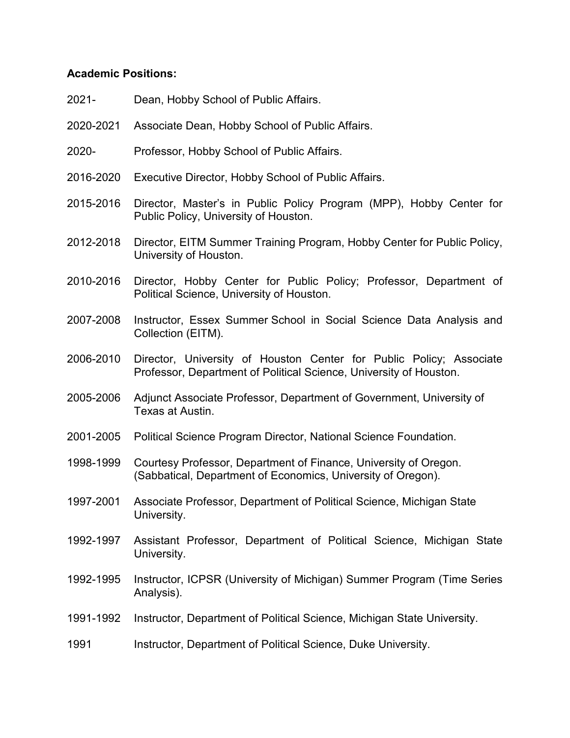#### **Academic Positions:**

- 2021- Dean, Hobby School of Public Affairs.
- 2020-2021 Associate Dean, Hobby School of Public Affairs.
- 2020- Professor, Hobby School of Public Affairs.
- 2016-2020 Executive Director, Hobby School of Public Affairs.
- 2015-2016 Director, Master's in Public Policy Program (MPP), Hobby Center for Public Policy, University of Houston.
- 2012-2018 Director, EITM Summer Training Program, Hobby Center for Public Policy, University of Houston.
- 2010-2016 Director, Hobby Center for Public Policy; Professor, Department of Political Science, University of Houston.
- 2007-2008 Instructor, Essex Summer School in Social Science Data Analysis and Collection (EITM).
- 2006-2010 Director, University of Houston Center for Public Policy; Associate Professor, Department of Political Science, University of Houston.
- 2005-2006 Adjunct Associate Professor, Department of Government, University of Texas at Austin.
- 2001-2005 Political Science Program Director, National Science Foundation.
- 1998-1999 Courtesy Professor, Department of Finance, University of Oregon. (Sabbatical, Department of Economics, University of Oregon).
- 1997-2001 Associate Professor, Department of Political Science, Michigan State University.
- 1992-1997 Assistant Professor, Department of Political Science, Michigan State University.
- 1992-1995 Instructor, ICPSR (University of Michigan) Summer Program (Time Series Analysis).
- 1991-1992 Instructor, Department of Political Science, Michigan State University.
- 1991 Instructor, Department of Political Science, Duke University.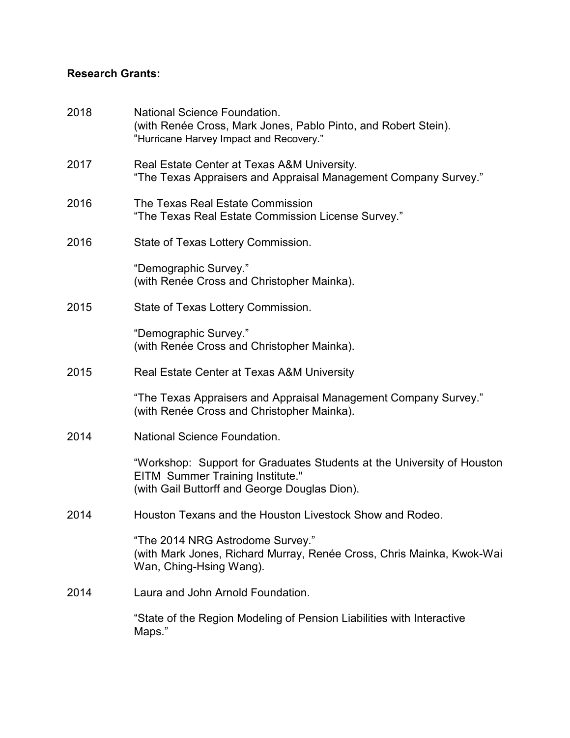# **Research Grants:**

| 2018 | National Science Foundation.<br>(with Renée Cross, Mark Jones, Pablo Pinto, and Robert Stein).<br>"Hurricane Harvey Impact and Recovery."                          |
|------|--------------------------------------------------------------------------------------------------------------------------------------------------------------------|
| 2017 | Real Estate Center at Texas A&M University.<br>"The Texas Appraisers and Appraisal Management Company Survey."                                                     |
| 2016 | The Texas Real Estate Commission<br>"The Texas Real Estate Commission License Survey."                                                                             |
| 2016 | State of Texas Lottery Commission.                                                                                                                                 |
|      | "Demographic Survey."<br>(with Renée Cross and Christopher Mainka).                                                                                                |
| 2015 | State of Texas Lottery Commission.                                                                                                                                 |
|      | "Demographic Survey."<br>(with Renée Cross and Christopher Mainka).                                                                                                |
| 2015 | Real Estate Center at Texas A&M University                                                                                                                         |
|      | "The Texas Appraisers and Appraisal Management Company Survey."<br>(with Renée Cross and Christopher Mainka).                                                      |
| 2014 | <b>National Science Foundation.</b>                                                                                                                                |
|      | "Workshop: Support for Graduates Students at the University of Houston<br><b>EITM Summer Training Institute."</b><br>(with Gail Buttorff and George Douglas Dion). |
| 2014 | Houston Texans and the Houston Livestock Show and Rodeo.                                                                                                           |
|      | "The 2014 NRG Astrodome Survey."<br>(with Mark Jones, Richard Murray, Renée Cross, Chris Mainka, Kwok-Wai<br>Wan, Ching-Hsing Wang).                               |
| 2014 | Laura and John Arnold Foundation.                                                                                                                                  |
|      | "State of the Region Modeling of Pension Liabilities with Interactive<br>Maps."                                                                                    |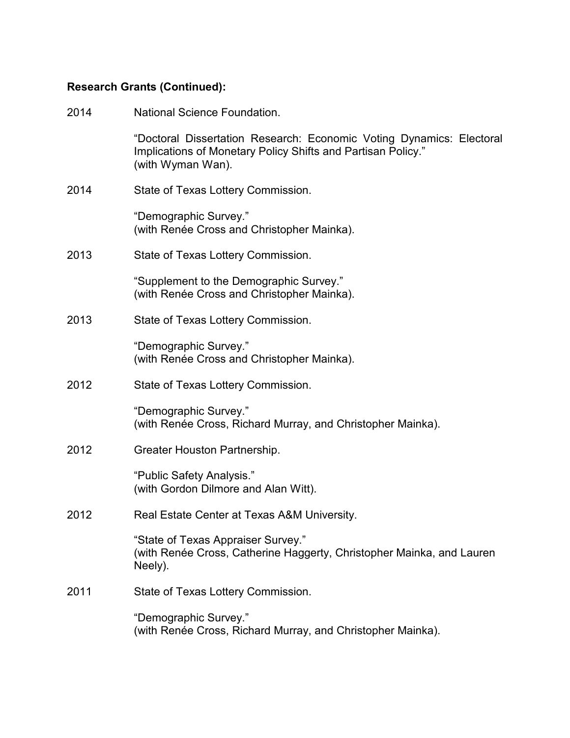| 2014 | <b>National Science Foundation.</b>                                                                                                                       |
|------|-----------------------------------------------------------------------------------------------------------------------------------------------------------|
|      | "Doctoral Dissertation Research: Economic Voting Dynamics: Electoral<br>Implications of Monetary Policy Shifts and Partisan Policy."<br>(with Wyman Wan). |
| 2014 | State of Texas Lottery Commission.                                                                                                                        |
|      | "Demographic Survey."<br>(with Renée Cross and Christopher Mainka).                                                                                       |
| 2013 | State of Texas Lottery Commission.                                                                                                                        |
|      | "Supplement to the Demographic Survey."<br>(with Renée Cross and Christopher Mainka).                                                                     |
| 2013 | State of Texas Lottery Commission.                                                                                                                        |
|      | "Demographic Survey."<br>(with Renée Cross and Christopher Mainka).                                                                                       |
| 2012 | State of Texas Lottery Commission.                                                                                                                        |
|      | "Demographic Survey."<br>(with Renée Cross, Richard Murray, and Christopher Mainka).                                                                      |
| 2012 | Greater Houston Partnership.                                                                                                                              |
|      | "Public Safety Analysis."<br>(with Gordon Dilmore and Alan Witt).                                                                                         |
| 2012 | Real Estate Center at Texas A&M University.                                                                                                               |
|      | "State of Texas Appraiser Survey."<br>(with Renée Cross, Catherine Haggerty, Christopher Mainka, and Lauren<br>Neely).                                    |
| 2011 | State of Texas Lottery Commission.                                                                                                                        |
|      | "Demographic Survey."<br>(with Renée Cross, Richard Murray, and Christopher Mainka).                                                                      |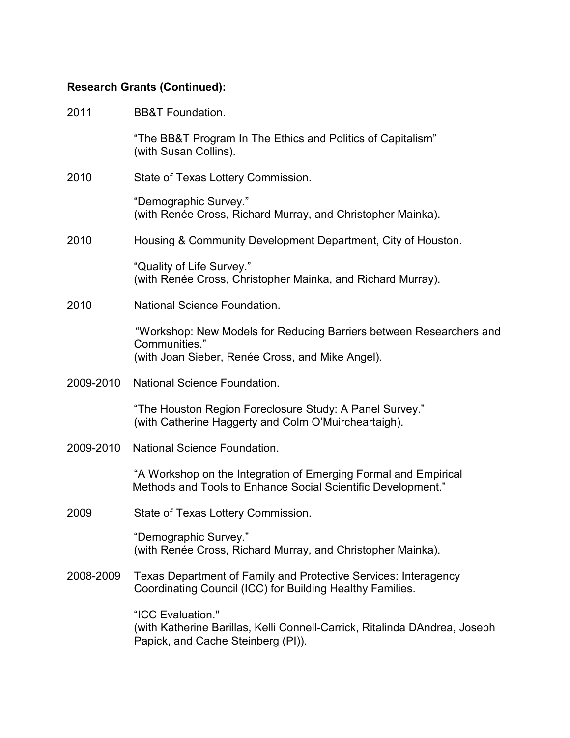| 2011      | <b>BB&amp;T Foundation.</b>                                                                                                              |
|-----------|------------------------------------------------------------------------------------------------------------------------------------------|
|           | "The BB&T Program In The Ethics and Politics of Capitalism"<br>(with Susan Collins).                                                     |
| 2010      | State of Texas Lottery Commission.                                                                                                       |
|           | "Demographic Survey."<br>(with Renée Cross, Richard Murray, and Christopher Mainka).                                                     |
| 2010      | Housing & Community Development Department, City of Houston.                                                                             |
|           | "Quality of Life Survey."<br>(with Renée Cross, Christopher Mainka, and Richard Murray).                                                 |
| 2010      | National Science Foundation.                                                                                                             |
|           | "Workshop: New Models for Reducing Barriers between Researchers and<br>Communities."<br>(with Joan Sieber, Renée Cross, and Mike Angel). |
| 2009-2010 | <b>National Science Foundation.</b>                                                                                                      |
|           | "The Houston Region Foreclosure Study: A Panel Survey."<br>(with Catherine Haggerty and Colm O'Muircheartaigh).                          |
| 2009-2010 | <b>National Science Foundation.</b>                                                                                                      |
|           | "A Workshop on the Integration of Emerging Formal and Empirical<br>Methods and Tools to Enhance Social Scientific Development."          |
| 2009      | State of Texas Lottery Commission.                                                                                                       |
|           | "Demographic Survey."<br>(with Renée Cross, Richard Murray, and Christopher Mainka).                                                     |
| 2008-2009 | Texas Department of Family and Protective Services: Interagency<br>Coordinating Council (ICC) for Building Healthy Families.             |
|           | "ICC Evaluation."<br>(with Katherine Barillas, Kelli Connell-Carrick, Ritalinda DAndrea, Joseph<br>Papick, and Cache Steinberg (PI)).    |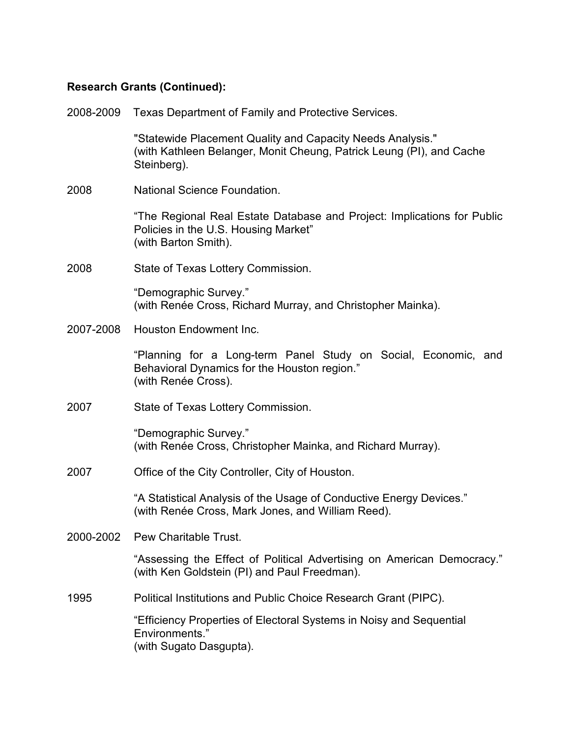| 2008-2009 | Texas Department of Family and Protective Services.                                                                                               |
|-----------|---------------------------------------------------------------------------------------------------------------------------------------------------|
|           | "Statewide Placement Quality and Capacity Needs Analysis."<br>(with Kathleen Belanger, Monit Cheung, Patrick Leung (PI), and Cache<br>Steinberg). |
| 2008      | National Science Foundation.                                                                                                                      |
|           | "The Regional Real Estate Database and Project: Implications for Public<br>Policies in the U.S. Housing Market"<br>(with Barton Smith).           |
| 2008      | State of Texas Lottery Commission.                                                                                                                |
|           | "Demographic Survey."<br>(with Renée Cross, Richard Murray, and Christopher Mainka).                                                              |
| 2007-2008 | <b>Houston Endowment Inc.</b>                                                                                                                     |
|           | "Planning for a Long-term Panel Study on Social, Economic, and<br>Behavioral Dynamics for the Houston region."<br>(with Renée Cross).             |
| 2007      | State of Texas Lottery Commission.                                                                                                                |
|           | "Demographic Survey."<br>(with Renée Cross, Christopher Mainka, and Richard Murray).                                                              |
| 2007      | Office of the City Controller, City of Houston.                                                                                                   |
|           | "A Statistical Analysis of the Usage of Conductive Energy Devices."<br>(with Renée Cross, Mark Jones, and William Reed).                          |
|           | 2000-2002 Pew Charitable Trust.                                                                                                                   |
|           | "Assessing the Effect of Political Advertising on American Democracy."<br>(with Ken Goldstein (PI) and Paul Freedman).                            |
| 1995      | Political Institutions and Public Choice Research Grant (PIPC).                                                                                   |
|           | "Efficiency Properties of Electoral Systems in Noisy and Sequential<br>Environments."<br>(with Sugato Dasgupta).                                  |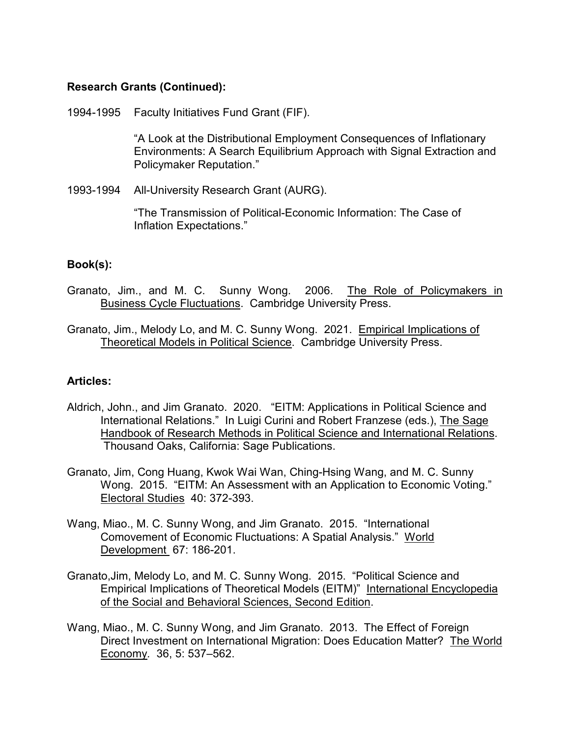1994-1995 Faculty Initiatives Fund Grant (FIF).

"A Look at the Distributional Employment Consequences of Inflationary Environments: A Search Equilibrium Approach with Signal Extraction and Policymaker Reputation."

1993-1994 All-University Research Grant (AURG).

"The Transmission of Political-Economic Information: The Case of Inflation Expectations."

#### **Book(s):**

- Granato, Jim., and M. C. Sunny Wong. 2006. The Role of Policymakers in Business Cycle Fluctuations. Cambridge University Press.
- Granato, Jim., Melody Lo, and M. C. Sunny Wong. 2021. Empirical Implications of Theoretical Models in Political Science. Cambridge University Press.

#### **Articles:**

- Aldrich, John., and Jim Granato. 2020. "EITM: Applications in Political Science and International Relations." In Luigi Curini and Robert Franzese (eds.), The Sage Handbook of Research Methods in Political Science and International Relations. Thousand Oaks, California: Sage Publications.
- Granato, Jim, Cong Huang, Kwok Wai Wan, Ching-Hsing Wang, and M. C. Sunny Wong. 2015. "EITM: An Assessment with an Application to Economic Voting." Electoral Studies 40: 372-393.
- Wang, Miao., M. C. Sunny Wong, and Jim Granato. 2015. "International Comovement of Economic Fluctuations: A Spatial Analysis." World Development 67: 186-201.
- Granato,Jim, Melody Lo, and M. C. Sunny Wong. 2015. "Political Science and Empirical Implications of Theoretical Models (EITM)" International Encyclopedia of the Social and Behavioral Sciences, Second Edition.
- Wang, Miao., M. C. Sunny Wong, and Jim Granato. 2013. The Effect of Foreign Direct Investment on International Migration: Does Education Matter? The World Economy*.* 36, 5: 537–562.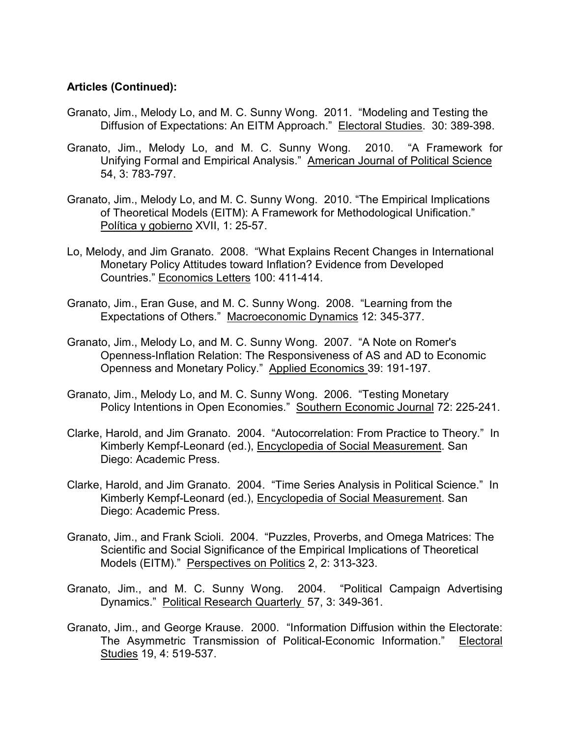#### **Articles (Continued):**

- Granato, Jim., Melody Lo, and M. C. Sunny Wong. 2011. "Modeling and Testing the Diffusion of Expectations: An EITM Approach." Electoral Studies. 30: 389-398.
- Granato, Jim., Melody Lo, and M. C. Sunny Wong. 2010. "A Framework for Unifying Formal and Empirical Analysis." American Journal of Political Science 54, 3: 783-797.
- Granato, Jim., Melody Lo, and M. C. Sunny Wong. 2010. "The Empirical Implications of Theoretical Models (EITM): A Framework for Methodological Unification." Política y gobierno XVII, 1: 25-57.
- Lo, Melody, and Jim Granato. 2008. "What Explains Recent Changes in International Monetary Policy Attitudes toward Inflation? Evidence from Developed Countries." Economics Letters 100: 411-414.
- Granato, Jim., Eran Guse, and M. C. Sunny Wong. 2008. "Learning from the Expectations of Others." Macroeconomic Dynamics 12: 345-377.
- Granato, Jim., Melody Lo, and M. C. Sunny Wong. 2007. "A Note on Romer's Openness-Inflation Relation: The Responsiveness of AS and AD to Economic Openness and Monetary Policy." Applied Economics 39: 191-197.
- Granato, Jim., Melody Lo, and M. C. Sunny Wong. 2006. "Testing Monetary Policy Intentions in Open Economies." Southern Economic Journal 72: 225-241.
- Clarke, Harold, and Jim Granato. 2004. "Autocorrelation: From Practice to Theory." In Kimberly Kempf-Leonard (ed.), Encyclopedia of Social Measurement. San Diego: Academic Press.
- Clarke, Harold, and Jim Granato. 2004. "Time Series Analysis in Political Science." In Kimberly Kempf-Leonard (ed.), Encyclopedia of Social Measurement. San Diego: Academic Press.
- Granato, Jim., and Frank Scioli. 2004. "Puzzles, Proverbs, and Omega Matrices: The Scientific and Social Significance of the Empirical Implications of Theoretical Models (EITM)." Perspectives on Politics 2, 2: 313-323.
- Granato, Jim., and M. C. Sunny Wong. 2004. "Political Campaign Advertising Dynamics." Political Research Quarterly 57, 3: 349-361.
- Granato, Jim., and George Krause. 2000. "Information Diffusion within the Electorate: The Asymmetric Transmission of Political-Economic Information." Electoral Studies 19, 4: 519-537.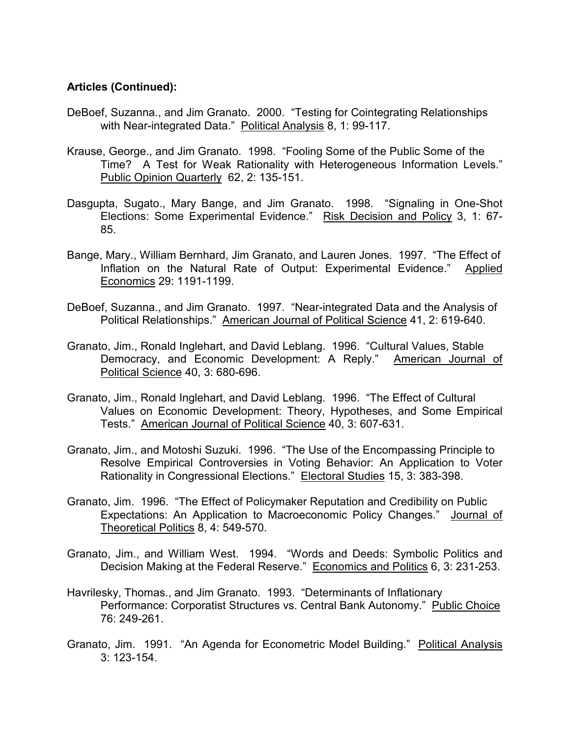#### **Articles (Continued):**

- DeBoef, Suzanna., and Jim Granato. 2000. "Testing for Cointegrating Relationships with Near-integrated Data." Political Analysis 8, 1: 99-117.
- Krause, George., and Jim Granato. 1998. "Fooling Some of the Public Some of the Time? A Test for Weak Rationality with Heterogeneous Information Levels." Public Opinion Quarterly 62, 2: 135-151.
- Dasgupta, Sugato., Mary Bange, and Jim Granato. 1998. "Signaling in One-Shot Elections: Some Experimental Evidence." Risk Decision and Policy 3, 1: 67- 85.
- Bange, Mary., William Bernhard, Jim Granato, and Lauren Jones. 1997. "The Effect of Inflation on the Natural Rate of Output: Experimental Evidence." Applied Economics 29: 1191-1199.
- DeBoef, Suzanna., and Jim Granato. 1997. "Near-integrated Data and the Analysis of Political Relationships." American Journal of Political Science 41, 2: 619-640.
- Granato, Jim., Ronald Inglehart, and David Leblang. 1996. "Cultural Values, Stable Democracy, and Economic Development: A Reply." American Journal of Political Science 40, 3: 680-696.
- Granato, Jim., Ronald Inglehart, and David Leblang. 1996. "The Effect of Cultural Values on Economic Development: Theory, Hypotheses, and Some Empirical Tests." American Journal of Political Science 40, 3: 607-631.
- Granato, Jim., and Motoshi Suzuki. 1996. "The Use of the Encompassing Principle to Resolve Empirical Controversies in Voting Behavior: An Application to Voter Rationality in Congressional Elections." Electoral Studies 15, 3: 383-398.
- Granato, Jim. 1996. "The Effect of Policymaker Reputation and Credibility on Public Expectations: An Application to Macroeconomic Policy Changes." Journal of Theoretical Politics 8, 4: 549-570.
- Granato, Jim., and William West. 1994. "Words and Deeds: Symbolic Politics and Decision Making at the Federal Reserve." Economics and Politics 6, 3: 231-253.
- Havrilesky, Thomas., and Jim Granato. 1993. "Determinants of Inflationary Performance: Corporatist Structures vs. Central Bank Autonomy." Public Choice 76: 249-261.
- Granato, Jim. 1991. "An Agenda for Econometric Model Building." Political Analysis 3: 123-154.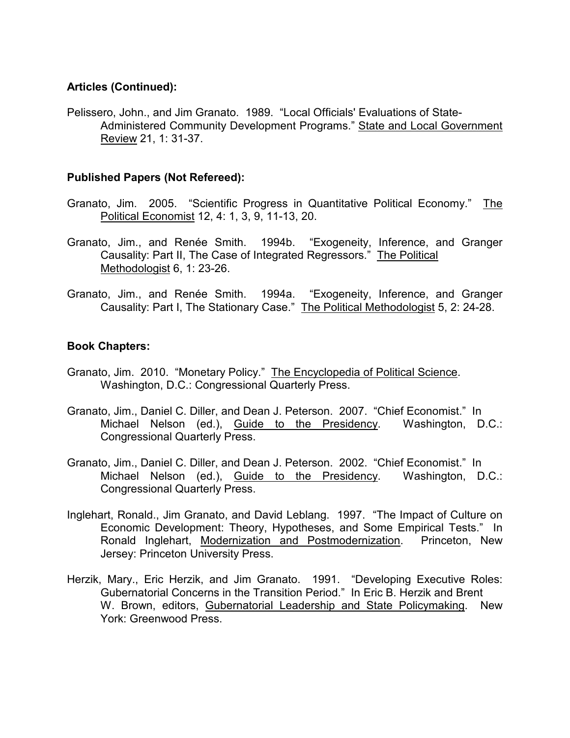### **Articles (Continued):**

Pelissero, John., and Jim Granato. 1989. "Local Officials' Evaluations of State-Administered Community Development Programs." State and Local Government Review 21, 1: 31-37.

### **Published Papers (Not Refereed):**

- Granato, Jim. 2005. "Scientific Progress in Quantitative Political Economy." The Political Economist 12, 4: 1, 3, 9, 11-13, 20.
- Granato, Jim., and Renée Smith. 1994b. "Exogeneity, Inference, and Granger Causality: Part II, The Case of Integrated Regressors." The Political Methodologist 6, 1: 23-26.
- Granato, Jim., and Renée Smith. 1994a. "Exogeneity, Inference, and Granger Causality: Part I, The Stationary Case." The Political Methodologist 5, 2: 24-28.

#### **Book Chapters:**

- Granato, Jim. 2010. "Monetary Policy." The Encyclopedia of Political Science. Washington, D.C.: Congressional Quarterly Press.
- Granato, Jim., Daniel C. Diller, and Dean J. Peterson. 2007. "Chief Economist." In Michael Nelson (ed.), Guide to the Presidency. Washington, D.C.: Congressional Quarterly Press.
- Granato, Jim., Daniel C. Diller, and Dean J. Peterson. 2002. "Chief Economist." In Michael Nelson (ed.), Guide to the Presidency. Washington, D.C.: Congressional Quarterly Press.
- Inglehart, Ronald., Jim Granato, and David Leblang. 1997. "The Impact of Culture on Economic Development: Theory, Hypotheses, and Some Empirical Tests." In Ronald Inglehart, Modernization and Postmodernization. Princeton, New Jersey: Princeton University Press.
- Herzik, Mary., Eric Herzik, and Jim Granato. 1991. "Developing Executive Roles: Gubernatorial Concerns in the Transition Period." In Eric B. Herzik and Brent W. Brown, editors, Gubernatorial Leadership and State Policymaking. New York: Greenwood Press.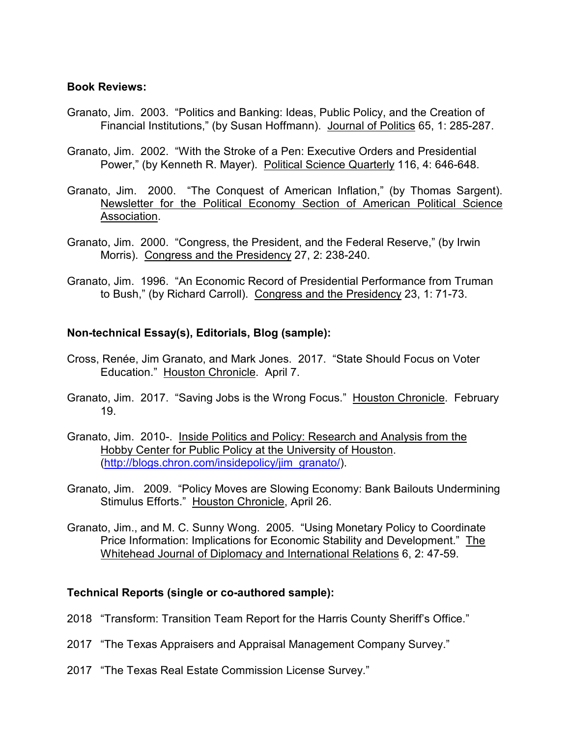#### **Book Reviews:**

- Granato, Jim. 2003. "Politics and Banking: Ideas, Public Policy, and the Creation of Financial Institutions," (by Susan Hoffmann). Journal of Politics 65, 1: 285-287.
- Granato, Jim. 2002. "With the Stroke of a Pen: Executive Orders and Presidential Power," (by Kenneth R. Mayer). Political Science Quarterly 116, 4: 646-648.
- Granato, Jim. 2000. "The Conquest of American Inflation," (by Thomas Sargent). Newsletter for the Political Economy Section of American Political Science Association.
- Granato, Jim. 2000. "Congress, the President, and the Federal Reserve," (by Irwin Morris). Congress and the Presidency 27, 2: 238-240.
- Granato, Jim. 1996. "An Economic Record of Presidential Performance from Truman to Bush," (by Richard Carroll). Congress and the Presidency 23, 1: 71-73.

#### **Non-technical Essay(s), Editorials, Blog (sample):**

- Cross, Renée, Jim Granato, and Mark Jones. 2017. "State Should Focus on Voter Education." Houston Chronicle. April 7.
- Granato, Jim. 2017. "Saving Jobs is the Wrong Focus." Houston Chronicle. February 19.
- Granato, Jim. 2010-. Inside Politics and Policy: Research and Analysis from the Hobby Center for Public Policy at the University of Houston. [\(http://blogs.chron.com/insidepolicy/jim\\_granato/\)](http://blogs.chron.com/insidepolicy/jim_granato/).
- Granato, Jim. 2009. "Policy Moves are Slowing Economy: Bank Bailouts Undermining Stimulus Efforts." Houston Chronicle, April 26.
- Granato, Jim., and M. C. Sunny Wong. 2005. "Using Monetary Policy to Coordinate Price Information: Implications for Economic Stability and Development." The Whitehead Journal of Diplomacy and International Relations 6, 2: 47-59.

#### **Technical Reports (single or co-authored sample):**

- 2018 "Transform: Transition Team Report for the Harris County Sheriff's Office."
- 2017 "The Texas Appraisers and Appraisal Management Company Survey."
- 2017 "The Texas Real Estate Commission License Survey."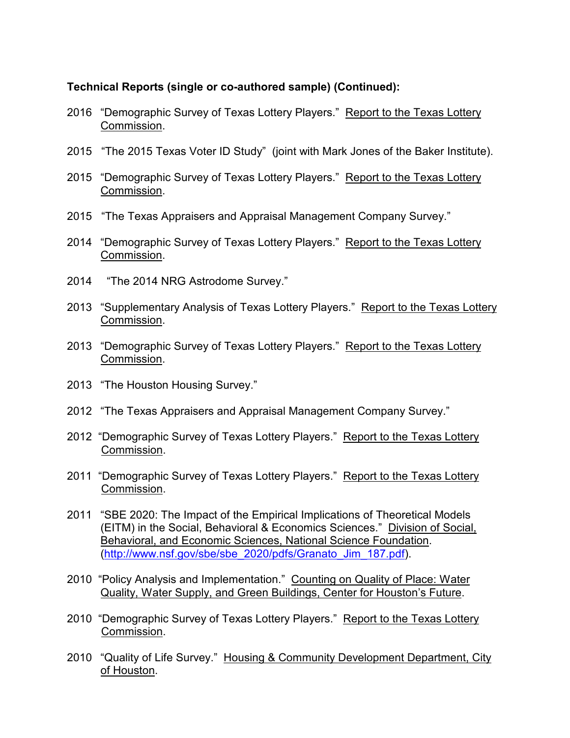### **Technical Reports (single or co-authored sample) (Continued):**

- 2016 "Demographic Survey of Texas Lottery Players." Report to the Texas Lottery Commission.
- 2015 "The 2015 Texas Voter ID Study" (joint with Mark Jones of the Baker Institute).
- 2015 "Demographic Survey of Texas Lottery Players." Report to the Texas Lottery Commission.
- 2015 "The Texas Appraisers and Appraisal Management Company Survey."
- 2014 "Demographic Survey of Texas Lottery Players." Report to the Texas Lottery Commission.
- 2014 "The 2014 NRG Astrodome Survey."
- 2013 "Supplementary Analysis of Texas Lottery Players." Report to the Texas Lottery Commission.
- 2013 "Demographic Survey of Texas Lottery Players." Report to the Texas Lottery Commission.
- 2013 "The Houston Housing Survey."
- 2012 "The Texas Appraisers and Appraisal Management Company Survey."
- 2012 "Demographic Survey of Texas Lottery Players." Report to the Texas Lottery Commission.
- 2011 "Demographic Survey of Texas Lottery Players." Report to the Texas Lottery Commission.
- 2011 "SBE 2020: The Impact of the Empirical Implications of Theoretical Models (EITM) in the Social, Behavioral & Economics Sciences." Division of Social, Behavioral, and Economic Sciences, National Science Foundation. [\(http://www.nsf.gov/sbe/sbe\\_2020/pdfs/Granato\\_Jim\\_187.pdf\)](http://www.nsf.gov/sbe/sbe_2020/pdfs/Granato_Jim_187.pdf).
- 2010 "Policy Analysis and Implementation." Counting on Quality of Place: Water Quality, Water Supply, and Green Buildings, Center for Houston's Future.
- 2010 "Demographic Survey of Texas Lottery Players." Report to the Texas Lottery Commission.
- 2010 "Quality of Life Survey." Housing & Community Development Department, City of Houston.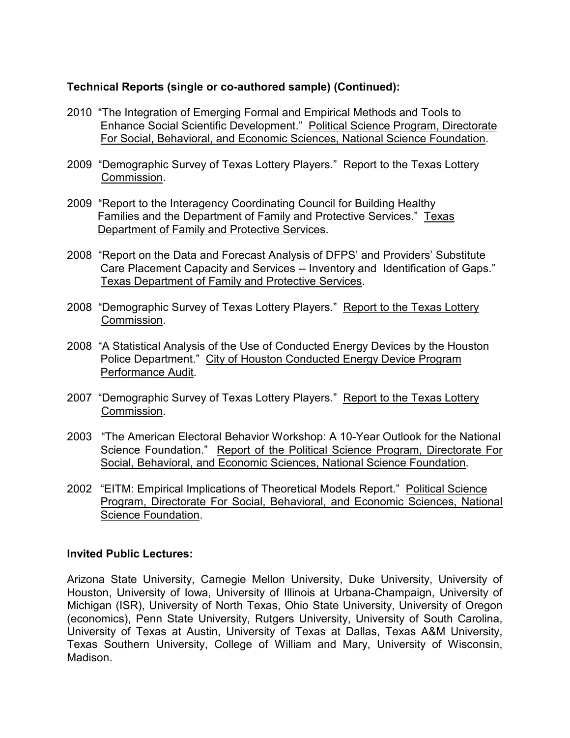## **Technical Reports (single or co-authored sample) (Continued):**

- 2010 "The Integration of Emerging Formal and Empirical Methods and Tools to Enhance Social Scientific Development." Political Science Program, Directorate For Social, Behavioral, and Economic Sciences, National Science Foundation.
- 2009 "Demographic Survey of Texas Lottery Players." Report to the Texas Lottery Commission.
- 2009 "Report to the Interagency Coordinating Council for Building Healthy Families and the Department of Family and Protective Services." Texas Department of Family and Protective Services.
- 2008 "Report on the Data and Forecast Analysis of DFPS' and Providers' Substitute Care Placement Capacity and Services -- Inventory and Identification of Gaps." Texas Department of Family and Protective Services.
- 2008 "Demographic Survey of Texas Lottery Players." Report to the Texas Lottery Commission.
- 2008 "A Statistical Analysis of the Use of Conducted Energy Devices by the Houston Police Department." City of Houston Conducted Energy Device Program Performance Audit.
- 2007 "Demographic Survey of Texas Lottery Players." Report to the Texas Lottery Commission.
- 2003 "The American Electoral Behavior Workshop: A 10-Year Outlook for the National Science Foundation." Report of the Political Science Program, Directorate For Social, Behavioral, and Economic Sciences, National Science Foundation.
- 2002 "EITM: Empirical Implications of Theoretical Models Report." Political Science Program, Directorate For Social, Behavioral, and Economic Sciences, National Science Foundation.

#### **Invited Public Lectures:**

Arizona State University, Carnegie Mellon University, Duke University, University of Houston, University of Iowa, University of Illinois at Urbana-Champaign, University of Michigan (ISR), University of North Texas, Ohio State University, University of Oregon (economics), Penn State University, Rutgers University, University of South Carolina, University of Texas at Austin, University of Texas at Dallas, Texas A&M University, Texas Southern University, College of William and Mary, University of Wisconsin, Madison.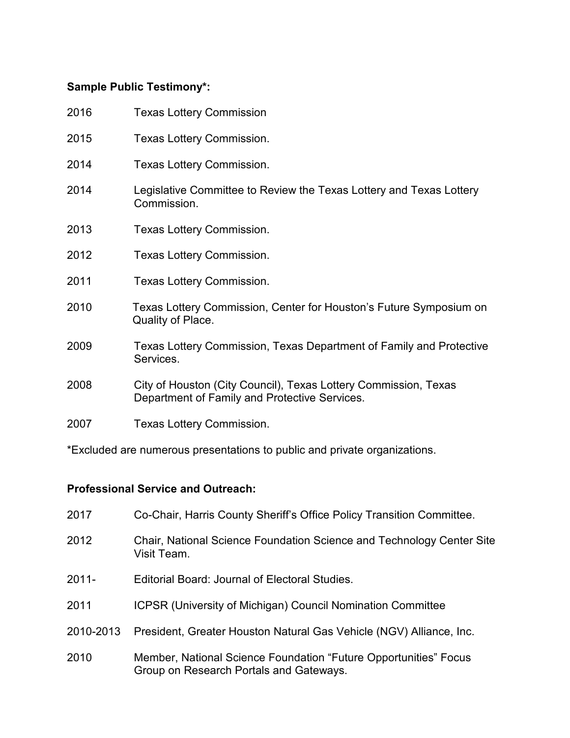# **Sample Public Testimony\*:**

| 2016 | <b>Texas Lottery Commission</b>                                                                                  |
|------|------------------------------------------------------------------------------------------------------------------|
| 2015 | <b>Texas Lottery Commission.</b>                                                                                 |
| 2014 | Texas Lottery Commission.                                                                                        |
| 2014 | Legislative Committee to Review the Texas Lottery and Texas Lottery<br>Commission.                               |
| 2013 | Texas Lottery Commission.                                                                                        |
| 2012 | Texas Lottery Commission.                                                                                        |
| 2011 | Texas Lottery Commission.                                                                                        |
| 2010 | Texas Lottery Commission, Center for Houston's Future Symposium on<br>Quality of Place.                          |
| 2009 | Texas Lottery Commission, Texas Department of Family and Protective<br>Services.                                 |
| 2008 | City of Houston (City Council), Texas Lottery Commission, Texas<br>Department of Family and Protective Services. |
| 2007 | Texas Lottery Commission.                                                                                        |

\*Excluded are numerous presentations to public and private organizations.

# **Professional Service and Outreach:**

| 2017      | Co-Chair, Harris County Sheriff's Office Policy Transition Committee.                                       |
|-----------|-------------------------------------------------------------------------------------------------------------|
| 2012      | Chair, National Science Foundation Science and Technology Center Site<br>Visit Team.                        |
| $2011 -$  | Editorial Board: Journal of Electoral Studies.                                                              |
| 2011      | <b>ICPSR (University of Michigan) Council Nomination Committee</b>                                          |
| 2010-2013 | President, Greater Houston Natural Gas Vehicle (NGV) Alliance, Inc.                                         |
| 2010      | Member, National Science Foundation "Future Opportunities" Focus<br>Group on Research Portals and Gateways. |